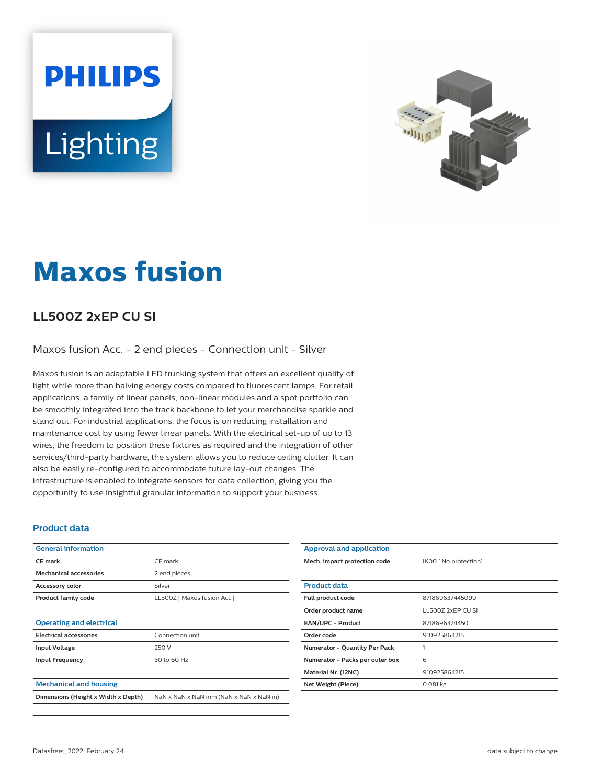# **PHILIPS** Lighting



## **Maxos fusion**

### **LL500Z 2xEP CU SI**

Maxos fusion Acc. - 2 end pieces - Connection unit - Silver

Maxos fusion is an adaptable LED trunking system that offers an excellent quality of light while more than halving energy costs compared to fluorescent lamps. For retail applications, a family of linear panels, non-linear modules and a spot portfolio can be smoothly integrated into the track backbone to let your merchandise sparkle and stand out. For industrial applications, the focus is on reducing installation and maintenance cost by using fewer linear panels. With the electrical set-up of up to 13 wires, the freedom to position these fixtures as required and the integration of other services/third-party hardware, the system allows you to reduce ceiling clutter. It can also be easily re-configured to accommodate future lay-out changes. The infrastructure is enabled to integrate sensors for data collection, giving you the opportunity to use insightful granular information to support your business.

#### **Product data**

| <b>General information</b>          |                                         |
|-------------------------------------|-----------------------------------------|
| <b>CE</b> mark                      | CE mark                                 |
| <b>Mechanical accessories</b>       | 2 end pieces                            |
| <b>Accessory color</b>              | Silver                                  |
| <b>Product family code</b>          | LL500Z [ Maxos fusion Acc.]             |
|                                     |                                         |
| <b>Operating and electrical</b>     |                                         |
| <b>Electrical accessories</b>       | Connection unit                         |
| <b>Input Voltage</b>                | 250 V                                   |
| <b>Input Frequency</b>              | 50 to 60 Hz                             |
|                                     |                                         |
| <b>Mechanical and housing</b>       |                                         |
| Dimensions (Height x Width x Depth) | NaN x NaN x NaN mm (NaN x NaN x NaN in) |

| <b>Approval and application</b>      |                       |
|--------------------------------------|-----------------------|
| Mech. impact protection code         | IK00 [ No protection] |
|                                      |                       |
| <b>Product data</b>                  |                       |
| Full product code                    | 871869637445099       |
| Order product name                   | LL5007 2xFP CU SL     |
| <b>EAN/UPC - Product</b>             | 8718696374450         |
| Order code                           | 910925864215          |
| <b>Numerator - Quantity Per Pack</b> |                       |
| Numerator - Packs per outer box      | 6                     |
| Material Nr. (12NC)                  | 910925864215          |
| Net Weight (Piece)                   | $0.081$ kg            |
|                                      |                       |